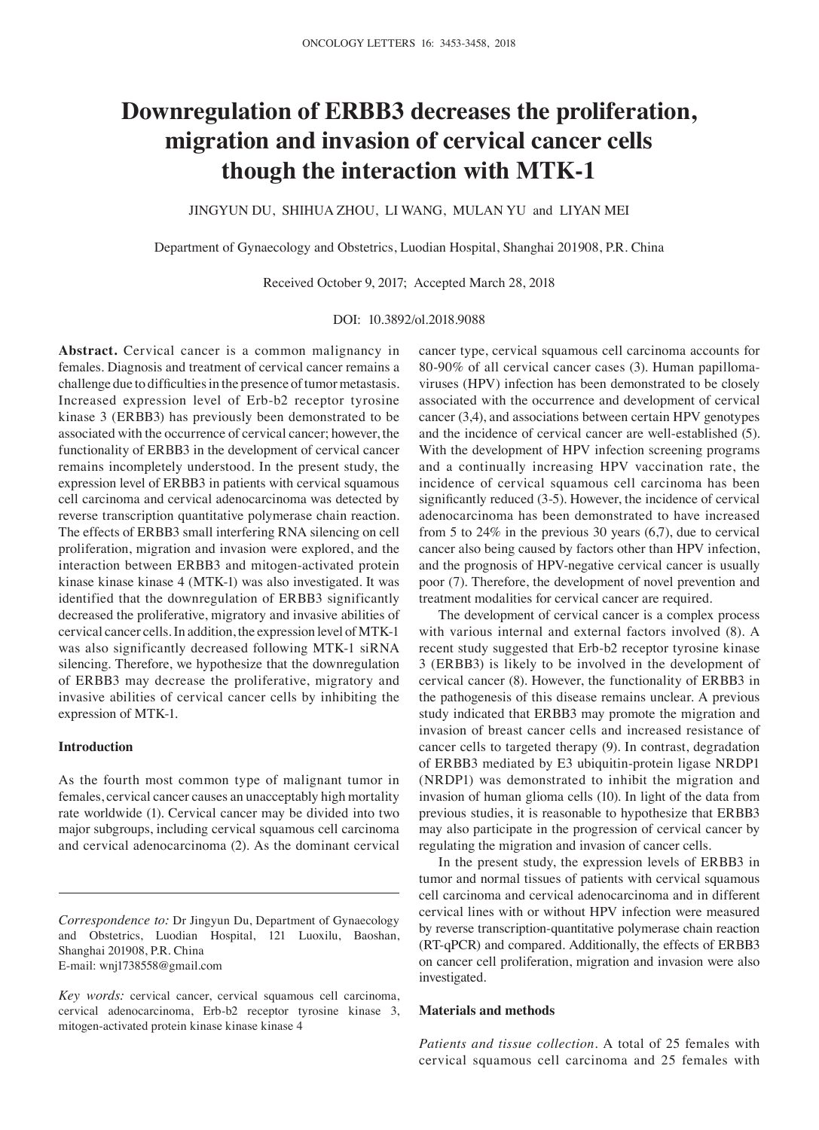# **Downregulation of ERBB3 decreases the proliferation, migration and invasion of cervical cancer cells though the interaction with MTK‑1**

JINGYUN DU, SHIHUA ZHOU, LI WANG, MULAN YU and LIYAN MEI

Department of Gynaecology and Obstetrics, Luodian Hospital, Shanghai 201908, P.R. China

Received October 9, 2017; Accepted March 28, 2018

#### DOI: 10.3892/ol.2018.9088

**Abstract.** Cervical cancer is a common malignancy in females. Diagnosis and treatment of cervical cancer remains a challenge due to difficulties in the presence of tumor metastasis. Increased expression level of Erb‑b2 receptor tyrosine kinase 3 (ERBB3) has previously been demonstrated to be associated with the occurrence of cervical cancer; however, the functionality of ERBB3 in the development of cervical cancer remains incompletely understood. In the present study, the expression level of ERBB3 in patients with cervical squamous cell carcinoma and cervical adenocarcinoma was detected by reverse transcription quantitative polymerase chain reaction. The effects of ERBB3 small interfering RNA silencing on cell proliferation, migration and invasion were explored, and the interaction between ERBB3 and mitogen‑activated protein kinase kinase kinase 4 (MTK-1) was also investigated. It was identified that the downregulation of ERBB3 significantly decreased the proliferative, migratory and invasive abilities of cervical cancer cells. In addition, the expression level of MTK‑1 was also significantly decreased following MTK-1 siRNA silencing. Therefore, we hypothesize that the downregulation of ERBB3 may decrease the proliferative, migratory and invasive abilities of cervical cancer cells by inhibiting the expression of MTK-1.

#### **Introduction**

As the fourth most common type of malignant tumor in females, cervical cancer causes an unacceptably high mortality rate worldwide (1). Cervical cancer may be divided into two major subgroups, including cervical squamous cell carcinoma and cervical adenocarcinoma (2). As the dominant cervical cancer type, cervical squamous cell carcinoma accounts for 80‑90% of all cervical cancer cases (3). Human papillomaviruses (HPV) infection has been demonstrated to be closely associated with the occurrence and development of cervical cancer (3,4), and associations between certain HPV genotypes and the incidence of cervical cancer are well-established (5). With the development of HPV infection screening programs and a continually increasing HPV vaccination rate, the incidence of cervical squamous cell carcinoma has been significantly reduced (3‑5). However, the incidence of cervical adenocarcinoma has been demonstrated to have increased from 5 to 24% in the previous 30 years (6,7), due to cervical cancer also being caused by factors other than HPV infection, and the prognosis of HPV‑negative cervical cancer is usually poor (7). Therefore, the development of novel prevention and treatment modalities for cervical cancer are required.

The development of cervical cancer is a complex process with various internal and external factors involved (8). A recent study suggested that Erb-b2 receptor tyrosine kinase 3 (ERBB3) is likely to be involved in the development of cervical cancer (8). However, the functionality of ERBB3 in the pathogenesis of this disease remains unclear. A previous study indicated that ERBB3 may promote the migration and invasion of breast cancer cells and increased resistance of cancer cells to targeted therapy (9). In contrast, degradation of ERBB3 mediated by E3 ubiquitin‑protein ligase NRDP1 (NRDP1) was demonstrated to inhibit the migration and invasion of human glioma cells (10). In light of the data from previous studies, it is reasonable to hypothesize that ERBB3 may also participate in the progression of cervical cancer by regulating the migration and invasion of cancer cells.

In the present study, the expression levels of ERBB3 in tumor and normal tissues of patients with cervical squamous cell carcinoma and cervical adenocarcinoma and in different cervical lines with or without HPV infection were measured by reverse transcription‑quantitative polymerase chain reaction (RT‑qPCR) and compared. Additionally, the effects of ERBB3 on cancer cell proliferation, migration and invasion were also investigated.

#### **Materials and methods**

*Patients and tissue collection.* A total of 25 females with cervical squamous cell carcinoma and 25 females with

*Correspondence to:* Dr Jingyun Du, Department of Gynaecology and Obstetrics, Luodian Hospital, 121 Luoxilu, Baoshan, Shanghai 201908, P.R. China E‑mail: wnj1738558@gmail.com

*Key words:* cervical cancer, cervical squamous cell carcinoma, cervical adenocarcinoma, Erb‑b2 receptor tyrosine kinase 3, mitogen‑activated protein kinase kinase kinase 4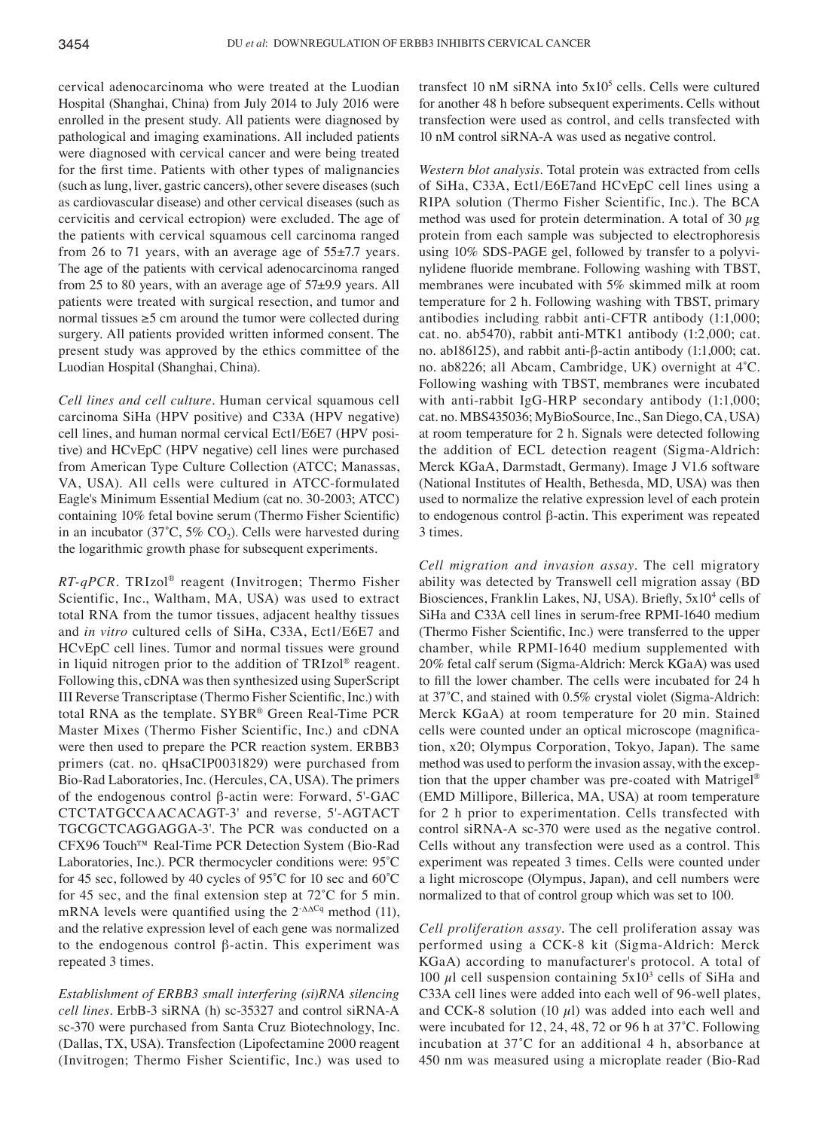cervical adenocarcinoma who were treated at the Luodian Hospital (Shanghai, China) from July 2014 to July 2016 were enrolled in the present study. All patients were diagnosed by pathological and imaging examinations. All included patients were diagnosed with cervical cancer and were being treated for the first time. Patients with other types of malignancies (such as lung, liver, gastric cancers), other severe diseases (such as cardiovascular disease) and other cervical diseases (such as cervicitis and cervical ectropion) were excluded. The age of the patients with cervical squamous cell carcinoma ranged from 26 to 71 years, with an average age of 55±7.7 years. The age of the patients with cervical adenocarcinoma ranged from 25 to 80 years, with an average age of 57±9.9 years. All patients were treated with surgical resection, and tumor and normal tissues ≥5 cm around the tumor were collected during surgery. All patients provided written informed consent. The present study was approved by the ethics committee of the Luodian Hospital (Shanghai, China).

*Cell lines and cell culture.* Human cervical squamous cell carcinoma SiHa (HPV positive) and C33A (HPV negative) cell lines, and human normal cervical Ect1/E6E7 (HPV positive) and HCvEpC (HPV negative) cell lines were purchased from American Type Culture Collection (ATCC; Manassas, VA, USA). All cells were cultured in ATCC-formulated Eagle's Minimum Essential Medium (cat no. 30-2003; ATCC) containing 10% fetal bovine serum (Thermo Fisher Scientific) in an incubator (37 $^{\circ}$ C, 5% CO<sub>2</sub>). Cells were harvested during the logarithmic growth phase for subsequent experiments.

*RT‑qPCR.* TRIzol® reagent (Invitrogen; Thermo Fisher Scientific, Inc., Waltham, MA, USA) was used to extract total RNA from the tumor tissues, adjacent healthy tissues and *in vitro* cultured cells of SiHa, C33A, Ect1/E6E7 and HCvEpC cell lines. Tumor and normal tissues were ground in liquid nitrogen prior to the addition of TRIzol® reagent. Following this, cDNA was then synthesized using SuperScript III Reverse Transcriptase (Thermo Fisher Scientific, Inc.) with total RNA as the template. SYBR® Green Real-Time PCR Master Mixes (Thermo Fisher Scientific, Inc.) and cDNA were then used to prepare the PCR reaction system. ERBB3 primers (cat. no. qHsaCIP0031829) were purchased from Bio‑Rad Laboratories, Inc. (Hercules, CA, USA). The primers of the endogenous control β-actin were: Forward, 5'-GAC CTCTATGCCAACACAGT-3' and reverse, 5'-AGTACT TGCGCTCAGGAGGA-3'. The PCR was conducted on a CFX96 Touch™ Real-Time PCR Detection System (Bio-Rad Laboratories, Inc.). PCR thermocycler conditions were: 95˚C for 45 sec, followed by 40 cycles of 95˚C for 10 sec and 60˚C for 45 sec, and the final extension step at 72˚C for 5 min. mRNA levels were quantified using the  $2^{-\Delta\Delta Cq}$  method (11), and the relative expression level of each gene was normalized to the endogenous control  $β$ -actin. This experiment was repeated 3 times.

*Establishment of ERBB3 small interfering (si)RNA silencing cell lines.* ErbB‑3 siRNA (h) sc‑35327 and control siRNA‑A sc‑370 were purchased from Santa Cruz Biotechnology, Inc. (Dallas, TX, USA). Transfection (Lipofectamine 2000 reagent (Invitrogen; Thermo Fisher Scientific, Inc.) was used to transfect 10 nM siRNA into  $5x10^5$  cells. Cells were cultured for another 48 h before subsequent experiments. Cells without transfection were used as control, and cells transfected with 10 nM control siRNA-A was used as negative control.

*Western blot analysis.* Total protein was extracted from cells of SiHa, C33A, Ect1/E6E7and HCvEpC cell lines using a RIPA solution (Thermo Fisher Scientific, Inc.). The BCA method was used for protein determination. A total of 30  $\mu$ g protein from each sample was subjected to electrophoresis using 10% SDS-PAGE gel, followed by transfer to a polyvinylidene fluoride membrane. Following washing with TBST, membranes were incubated with 5% skimmed milk at room temperature for 2 h. Following washing with TBST, primary antibodies including rabbit anti-CFTR antibody (1:1,000; cat. no. ab5470), rabbit anti‑MTK1 antibody (1:2,000; cat. no. ab186125), and rabbit anti‑β‑actin antibody (1:1,000; cat. no. ab8226; all Abcam, Cambridge, UK) overnight at 4˚C. Following washing with TBST, membranes were incubated with anti-rabbit IgG-HRP secondary antibody (1:1,000; cat. no. MBS435036; MyBioSource, Inc., San Diego, CA, USA) at room temperature for 2 h. Signals were detected following the addition of ECL detection reagent (Sigma-Aldrich: Merck KGaA, Darmstadt, Germany). Image J V1.6 software (National Institutes of Health, Bethesda, MD, USA) was then used to normalize the relative expression level of each protein to endogenous control β‑actin. This experiment was repeated 3 times.

*Cell migration and invasion assay.* The cell migratory ability was detected by Transwell cell migration assay (BD Biosciences, Franklin Lakes, NJ, USA). Briefly, 5x10<sup>4</sup> cells of SiHa and C33A cell lines in serum-free RPMI-1640 medium (Thermo Fisher Scientific, Inc.) were transferred to the upper chamber, while RPMI-1640 medium supplemented with 20% fetal calf serum (Sigma-Aldrich: Merck KGaA) was used to fill the lower chamber. The cells were incubated for 24 h at 37˚C, and stained with 0.5% crystal violet (Sigma‑Aldrich: Merck KGaA) at room temperature for 20 min. Stained cells were counted under an optical microscope (magnification, x20; Olympus Corporation, Tokyo, Japan). The same method was used to perform the invasion assay, with the exception that the upper chamber was pre-coated with Matrigel<sup>®</sup> (EMD Millipore, Billerica, MA, USA) at room temperature for 2 h prior to experimentation. Cells transfected with control siRNA-A sc-370 were used as the negative control. Cells without any transfection were used as a control. This experiment was repeated 3 times. Cells were counted under a light microscope (Olympus, Japan), and cell numbers were normalized to that of control group which was set to 100.

*Cell proliferation assay.* The cell proliferation assay was performed using a CCK‑8 kit (Sigma‑Aldrich: Merck KGaA) according to manufacturer's protocol. A total of 100  $\mu$ l cell suspension containing 5x10<sup>3</sup> cells of SiHa and C33A cell lines were added into each well of 96‑well plates, and CCK-8 solution (10  $\mu$ l) was added into each well and were incubated for 12, 24, 48, 72 or 96 h at 37˚C. Following incubation at 37˚C for an additional 4 h, absorbance at 450 nm was measured using a microplate reader (Bio‑Rad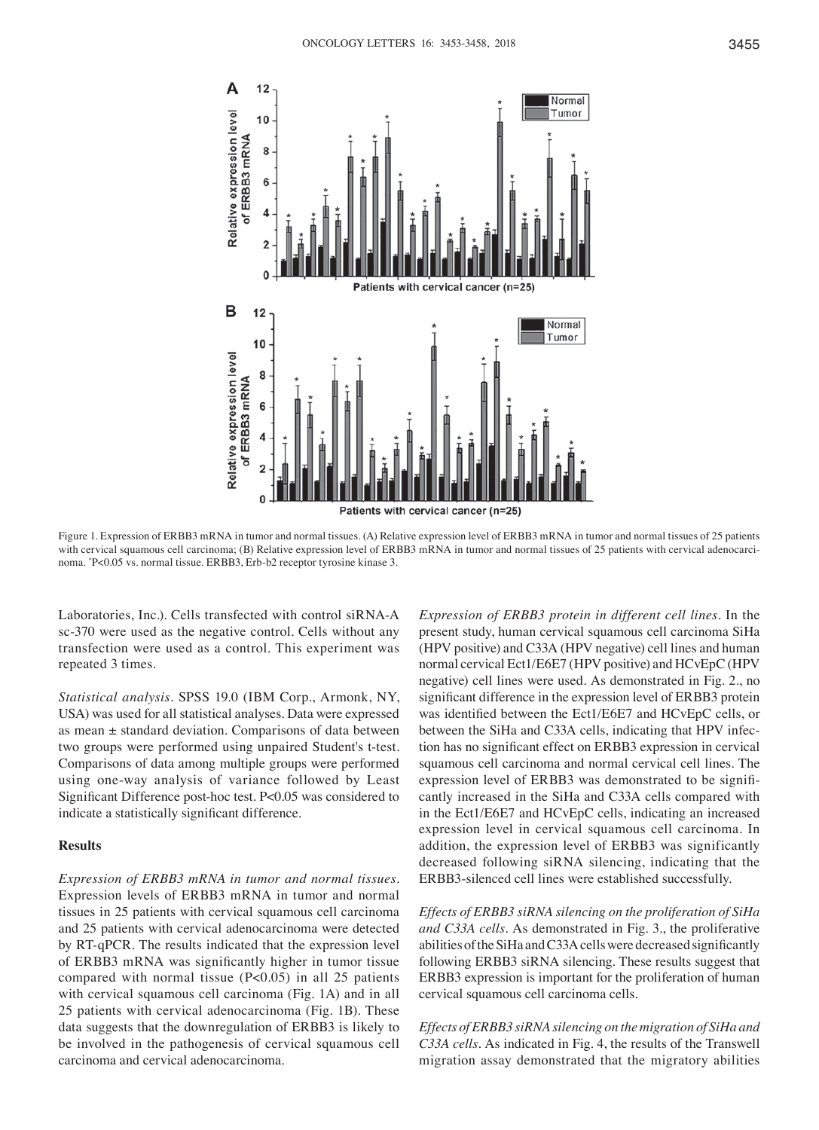

Figure 1. Expression of ERBB3 mRNA in tumor and normal tissues. (A) Relative expression level of ERBB3 mRNA in tumor and normal tissues of 25 patients with cervical squamous cell carcinoma; (B) Relative expression level of ERBB3 mRNA in tumor and normal tissues of 25 patients with cervical adenocarcinoma. \* P<0.05 vs. normal tissue. ERBB3, Erb‑b2 receptor tyrosine kinase 3.

Laboratories, Inc.). Cells transfected with control siRNA‑A sc-370 were used as the negative control. Cells without any transfection were used as a control. This experiment was repeated 3 times.

*Statistical analysis.* SPSS 19.0 (IBM Corp., Armonk, NY, USA) was used for all statistical analyses. Data were expressed as mean ± standard deviation. Comparisons of data between two groups were performed using unpaired Student's t-test. Comparisons of data among multiple groups were performed using one‑way analysis of variance followed by Least Significant Difference post-hoc test. P<0.05 was considered to indicate a statistically significant difference.

## **Results**

*Expression of ERBB3 mRNA in tumor and normal tissues.*  Expression levels of ERBB3 mRNA in tumor and normal tissues in 25 patients with cervical squamous cell carcinoma and 25 patients with cervical adenocarcinoma were detected by RT‑qPCR. The results indicated that the expression level of ERBB3 mRNA was significantly higher in tumor tissue compared with normal tissue  $(P<0.05)$  in all 25 patients with cervical squamous cell carcinoma (Fig. 1A) and in all 25 patients with cervical adenocarcinoma (Fig. 1B). These data suggests that the downregulation of ERBB3 is likely to be involved in the pathogenesis of cervical squamous cell carcinoma and cervical adenocarcinoma.

*Expression of ERBB3 protein in different cell lines.* In the present study, human cervical squamous cell carcinoma SiHa (HPV positive) and C33A (HPV negative) cell lines and human normal cervical Ect1/E6E7 (HPV positive) and HCvEpC (HPV negative) cell lines were used. As demonstrated in Fig. 2., no significant difference in the expression level of ERBB3 protein was identified between the Ect1/E6E7 and HCvEpC cells, or between the SiHa and C33A cells, indicating that HPV infection has no significant effect on ERBB3 expression in cervical squamous cell carcinoma and normal cervical cell lines. The expression level of ERBB3 was demonstrated to be significantly increased in the SiHa and C33A cells compared with in the Ect1/E6E7 and HCvEpC cells, indicating an increased expression level in cervical squamous cell carcinoma. In addition, the expression level of ERBB3 was significantly decreased following siRNA silencing, indicating that the ERBB3‑silenced cell lines were established successfully.

*Effects of ERBB3 siRNA silencing on the proliferation of SiHa and C33A cells.* As demonstrated in Fig. 3., the proliferative abilities of the SiHa and C33A cells were decreased significantly following ERBB3 siRNA silencing. These results suggest that ERBB3 expression is important for the proliferation of human cervical squamous cell carcinoma cells.

*Effects of ERBB3 siRNA silencing on the migration of SiHa and C33A cells.* As indicated in Fig. 4, the results of the Transwell migration assay demonstrated that the migratory abilities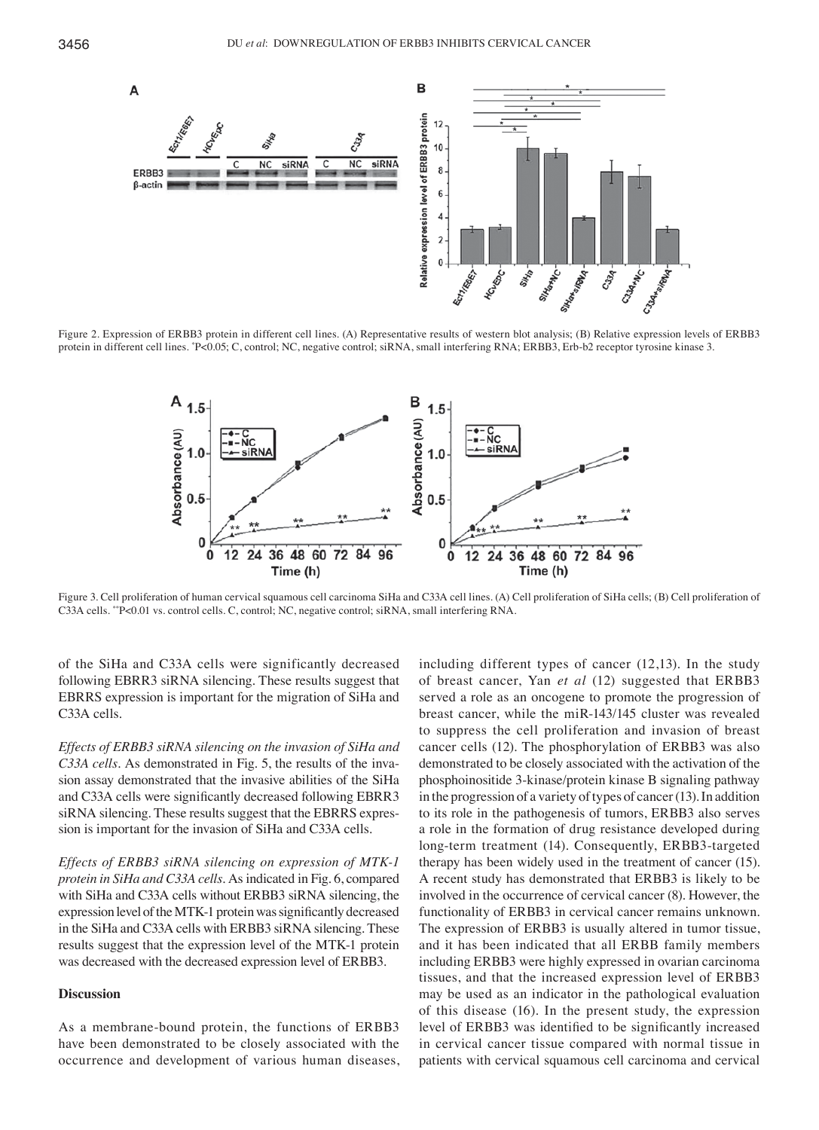

Figure 2. Expression of ERBB3 protein in different cell lines. (A) Representative results of western blot analysis; (B) Relative expression levels of ERBB3 protein in different cell lines. "P<0.05; C, control; NC, negative control; siRNA, small interfering RNA; ERBB3, Erb-b2 receptor tyrosine kinase 3.



Figure 3. Cell proliferation of human cervical squamous cell carcinoma SiHa and C33A cell lines. (A) Cell proliferation of SiHa cells; (B) Cell proliferation of C33A cells. \*\*P<0.01 vs. control cells. C, control; NC, negative control; siRNA, small interfering RNA.

of the SiHa and C33A cells were significantly decreased following EBRR3 siRNA silencing. These results suggest that EBRRS expression is important for the migration of SiHa and C33A cells.

*Effects of ERBB3 siRNA silencing on the invasion of SiHa and C33A cells.* As demonstrated in Fig. 5, the results of the invasion assay demonstrated that the invasive abilities of the SiHa and C33A cells were significantly decreased following EBRR3 siRNA silencing. These results suggest that the EBRRS expression is important for the invasion of SiHa and C33A cells.

*Effects of ERBB3 siRNA silencing on expression of MTK‑1 protein in SiHa and C33A cells.* As indicated in Fig. 6, compared with SiHa and C33A cells without ERBB3 siRNA silencing, the expression level of the MTK‑1 protein was significantly decreased in the SiHa and C33A cells with ERBB3 siRNA silencing. These results suggest that the expression level of the MTK‑1 protein was decreased with the decreased expression level of ERBB3.

## **Discussion**

As a membrane-bound protein, the functions of ERBB3 have been demonstrated to be closely associated with the occurrence and development of various human diseases, including different types of cancer (12,13). In the study of breast cancer, Yan *et al* (12) suggested that ERBB3 served a role as an oncogene to promote the progression of breast cancer, while the miR‑143/145 cluster was revealed to suppress the cell proliferation and invasion of breast cancer cells (12). The phosphorylation of ERBB3 was also demonstrated to be closely associated with the activation of the phosphoinositide 3‑kinase/protein kinase B signaling pathway in the progression of a variety of types of cancer  $(13)$ . In addition to its role in the pathogenesis of tumors, ERBB3 also serves a role in the formation of drug resistance developed during long-term treatment (14). Consequently, ERBB3-targeted therapy has been widely used in the treatment of cancer (15). A recent study has demonstrated that ERBB3 is likely to be involved in the occurrence of cervical cancer (8). However, the functionality of ERBB3 in cervical cancer remains unknown. The expression of ERBB3 is usually altered in tumor tissue, and it has been indicated that all ERBB family members including ERBB3 were highly expressed in ovarian carcinoma tissues, and that the increased expression level of ERBB3 may be used as an indicator in the pathological evaluation of this disease (16). In the present study, the expression level of ERBB3 was identified to be significantly increased in cervical cancer tissue compared with normal tissue in patients with cervical squamous cell carcinoma and cervical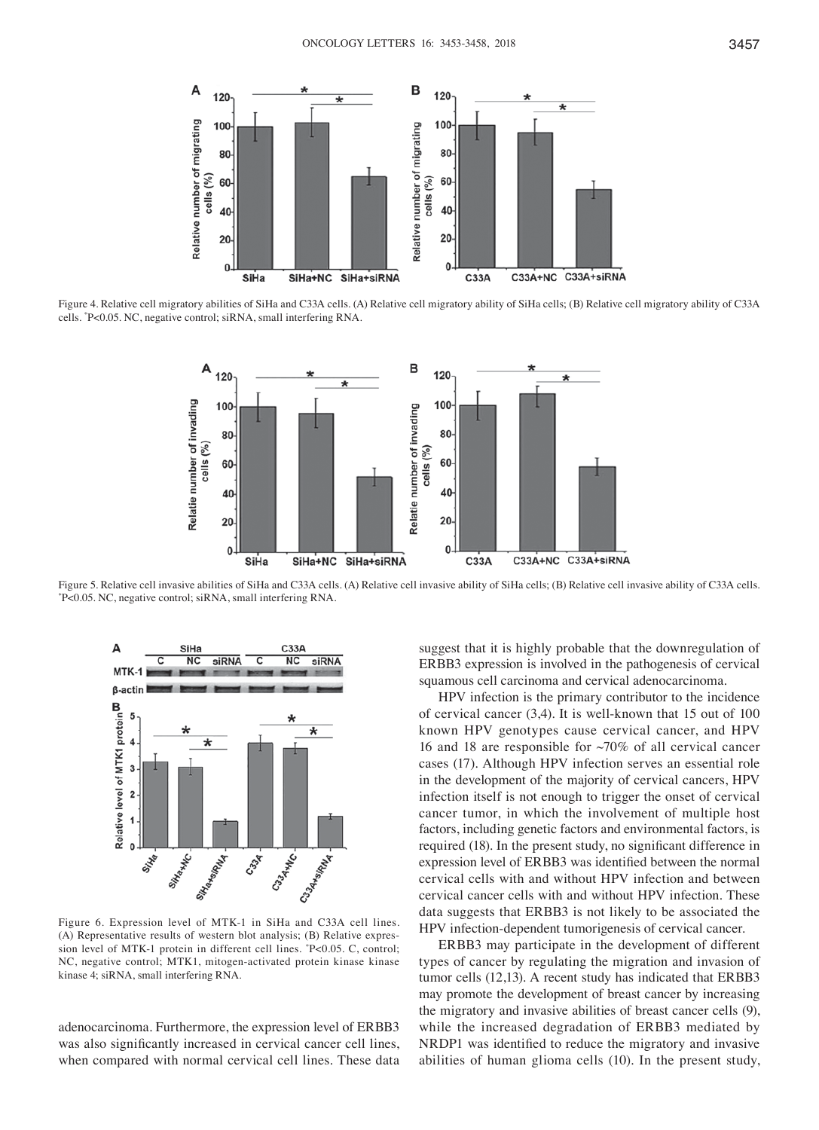

Figure 4. Relative cell migratory abilities of SiHa and C33A cells. (A) Relative cell migratory ability of SiHa cells; (B) Relative cell migratory ability of C33A cells. \* P<0.05. NC, negative control; siRNA, small interfering RNA.



Figure 5. Relative cell invasive abilities of SiHa and C33A cells. (A) Relative cell invasive ability of SiHa cells; (B) Relative cell invasive ability of C33A cells. \* P<0.05. NC, negative control; siRNA, small interfering RNA.



Figure 6. Expression level of MTK‑1 in SiHa and C33A cell lines. (A) Representative results of western blot analysis; (B) Relative expression level of MTK‑1 protein in different cell lines. \* P<0.05. C, control; NC, negative control; MTK1, mitogen‑activated protein kinase kinase kinase 4; siRNA, small interfering RNA.

adenocarcinoma. Furthermore, the expression level of ERBB3 was also significantly increased in cervical cancer cell lines, when compared with normal cervical cell lines. These data

suggest that it is highly probable that the downregulation of ERBB3 expression is involved in the pathogenesis of cervical squamous cell carcinoma and cervical adenocarcinoma.

HPV infection is the primary contributor to the incidence of cervical cancer (3,4). It is well-known that 15 out of 100 known HPV genotypes cause cervical cancer, and HPV 16 and 18 are responsible for  $\sim$ 70% of all cervical cancer cases (17). Although HPV infection serves an essential role in the development of the majority of cervical cancers, HPV infection itself is not enough to trigger the onset of cervical cancer tumor, in which the involvement of multiple host factors, including genetic factors and environmental factors, is required (18). In the present study, no significant difference in expression level of ERBB3 was identified between the normal cervical cells with and without HPV infection and between cervical cancer cells with and without HPV infection. These data suggests that ERBB3 is not likely to be associated the HPV infection‑dependent tumorigenesis of cervical cancer.

ERBB3 may participate in the development of different types of cancer by regulating the migration and invasion of tumor cells (12,13). A recent study has indicated that ERBB3 may promote the development of breast cancer by increasing the migratory and invasive abilities of breast cancer cells (9), while the increased degradation of ERBB3 mediated by NRDP1 was identified to reduce the migratory and invasive abilities of human glioma cells (10). In the present study,